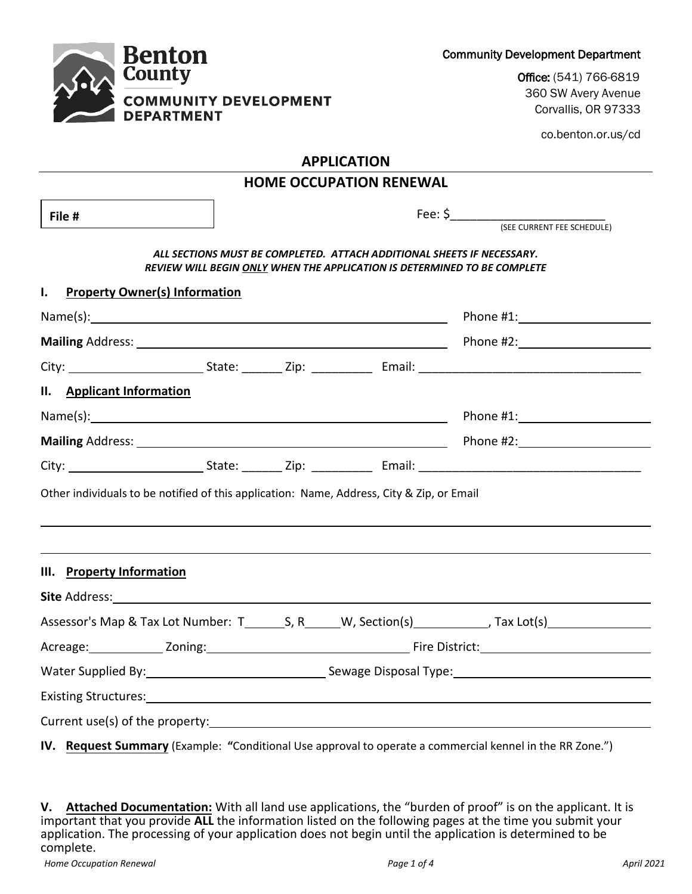| <b>County</b>                                                                                                   |                                                                                                                                                    | Office: (541) 766-6819                     |
|-----------------------------------------------------------------------------------------------------------------|----------------------------------------------------------------------------------------------------------------------------------------------------|--------------------------------------------|
| <b>COMMUNITY DEVELOPMENT</b><br><b>DEPARTMENT</b>                                                               |                                                                                                                                                    | 360 SW Avery Avenue<br>Corvallis, OR 97333 |
|                                                                                                                 |                                                                                                                                                    | co.benton.or.us/cd                         |
|                                                                                                                 | <b>APPLICATION</b>                                                                                                                                 |                                            |
|                                                                                                                 | <b>HOME OCCUPATION RENEWAL</b>                                                                                                                     |                                            |
| File #                                                                                                          |                                                                                                                                                    |                                            |
|                                                                                                                 |                                                                                                                                                    |                                            |
|                                                                                                                 | ALL SECTIONS MUST BE COMPLETED. ATTACH ADDITIONAL SHEETS IF NECESSARY.<br>REVIEW WILL BEGIN ONLY WHEN THE APPLICATION IS DETERMINED TO BE COMPLETE |                                            |
| <b>Property Owner(s) Information</b><br>I.                                                                      |                                                                                                                                                    |                                            |
|                                                                                                                 |                                                                                                                                                    |                                            |
|                                                                                                                 |                                                                                                                                                    |                                            |
|                                                                                                                 |                                                                                                                                                    |                                            |
| II. Applicant Information                                                                                       |                                                                                                                                                    |                                            |
|                                                                                                                 |                                                                                                                                                    |                                            |
|                                                                                                                 |                                                                                                                                                    |                                            |
|                                                                                                                 |                                                                                                                                                    |                                            |
| Other individuals to be notified of this application: Name, Address, City & Zip, or Email                       |                                                                                                                                                    |                                            |
| III. Property Information                                                                                       |                                                                                                                                                    |                                            |
|                                                                                                                 |                                                                                                                                                    |                                            |
| Assessor's Map & Tax Lot Number: T________S, R______W, Section(s)____________, Tax Lot(s)_____________________  |                                                                                                                                                    |                                            |
|                                                                                                                 |                                                                                                                                                    |                                            |
| Water Supplied By: 1998 Communication Communication Sewage Disposal Type: 1998 Communication Communication Comm |                                                                                                                                                    |                                            |
| Existing Structures: 1999 Contract Contract Contract Contract Contract Contract Contract Contract Contract Con  |                                                                                                                                                    |                                            |
|                                                                                                                 |                                                                                                                                                    |                                            |
|                                                                                                                 |                                                                                                                                                    |                                            |

Community Development Department

**IV. Request Summary** (Example: **"**Conditional Use approval to operate a commercial kennel in the RR Zone.")

**V. Attached Documentation:** With all land use applications, the "burden of proof" is on the applicant. It is important that you provide **ALL** the information listed on the following pages at the time you submit your application. The processing of your application does not begin until the application is determined to be complete.

Renton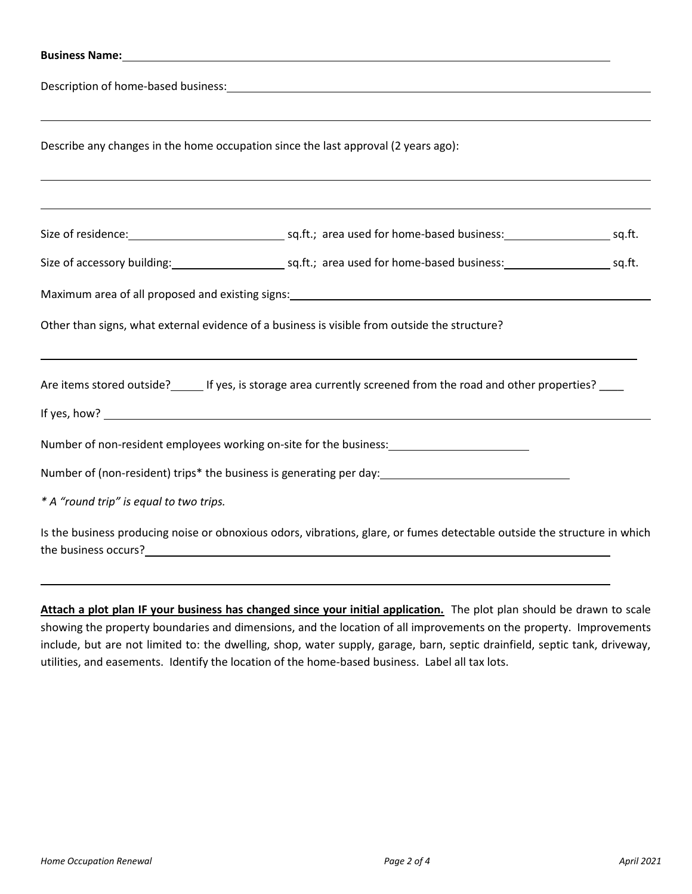| Describe any changes in the home occupation since the last approval (2 years ago):<br>,我们也不会有什么。""我们的人,我们也不会有什么?""我们的人,我们也不会有什么?""我们的人,我们也不会有什么?""我们的人,我们也不会有什么?""我们的人                                                                                                                                                |  |
|-----------------------------------------------------------------------------------------------------------------------------------------------------------------------------------------------------------------------------------------------------------------------------------------------------------------------|--|
|                                                                                                                                                                                                                                                                                                                       |  |
| Size of accessory building:<br>sq.ft.; area used for home-based business:<br>sq.ft.<br>Maximum area of all proposed and existing signs: Maximum and the state of the state of the state of the state of the state of the state of the state of the state of the state of the state of the state of the state of the s |  |
| Other than signs, what external evidence of a business is visible from outside the structure?                                                                                                                                                                                                                         |  |
| Are items stored outside? If yes, is storage area currently screened from the road and other properties?                                                                                                                                                                                                              |  |
| Number of non-resident employees working on-site for the business: ______________<br>Number of (non-resident) trips* the business is generating per day: ________________________________                                                                                                                             |  |
| * A "round trip" is equal to two trips.                                                                                                                                                                                                                                                                               |  |
| Is the business producing noise or obnoxious odors, vibrations, glare, or fumes detectable outside the structure in which                                                                                                                                                                                             |  |
|                                                                                                                                                                                                                                                                                                                       |  |

**Attach a plot plan IF your business has changed since your initial application.** The plot plan should be drawn to scale showing the property boundaries and dimensions, and the location of all improvements on the property. Improvements include, but are not limited to: the dwelling, shop, water supply, garage, barn, septic drainfield, septic tank, driveway, utilities, and easements. Identify the location of the home-based business. Label all tax lots.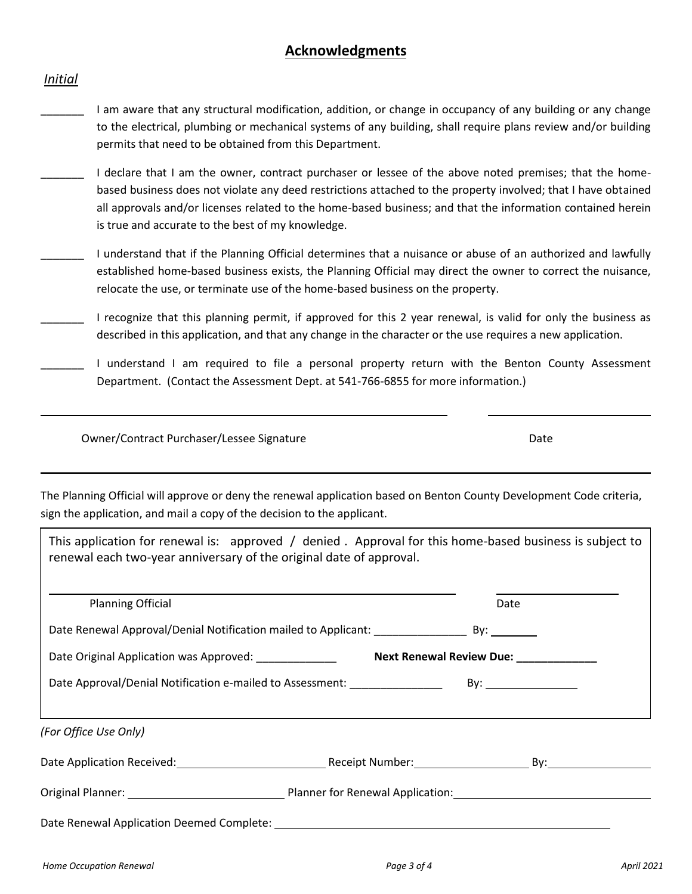# **Acknowledgments**

## *Initial*

- \_\_\_\_\_\_\_ I am aware that any structural modification, addition, or change in occupancy of any building or any change to the electrical, plumbing or mechanical systems of any building, shall require plans review and/or building permits that need to be obtained from this Department.
- I declare that I am the owner, contract purchaser or lessee of the above noted premises; that the homebased business does not violate any deed restrictions attached to the property involved; that I have obtained all approvals and/or licenses related to the home-based business; and that the information contained herein is true and accurate to the best of my knowledge.
- \_\_\_\_\_\_\_ I understand that if the Planning Official determines that a nuisance or abuse of an authorized and lawfully established home-based business exists, the Planning Official may direct the owner to correct the nuisance, relocate the use, or terminate use of the home-based business on the property.
- \_\_\_\_\_\_\_ I recognize that this planning permit, if approved for this 2 year renewal, is valid for only the business as described in this application, and that any change in the character or the use requires a new application.
- I understand I am required to file a personal property return with the Benton County Assessment Department. (Contact the Assessment Dept. at 541-766-6855 for more information.)

Owner/Contract Purchaser/Lessee Signature data and the Date Date Date

The Planning Official will approve or deny the renewal application based on Benton County Development Code criteria, sign the application, and mail a copy of the decision to the applicant.

This application for renewal is: approved / denied . Approval for this home-based business is subject to renewal each two-year anniversary of the original date of approval.

| <b>Planning Official</b>                                                                                           | Date                                  |
|--------------------------------------------------------------------------------------------------------------------|---------------------------------------|
| Date Renewal Approval/Denial Notification mailed to Applicant: By: ______________ By: __________                   |                                       |
| Date Original Application was Approved: ______________                                                             | Next Renewal Review Due: ____________ |
| Date Approval/Denial Notification e-mailed to Assessment: _______________                                          |                                       |
|                                                                                                                    |                                       |
| (For Office Use Only)                                                                                              |                                       |
| Date Application Received: Numbers 2012 Contract Application Received: Numbers 2014 Contract Application Received: |                                       |
|                                                                                                                    |                                       |
|                                                                                                                    |                                       |